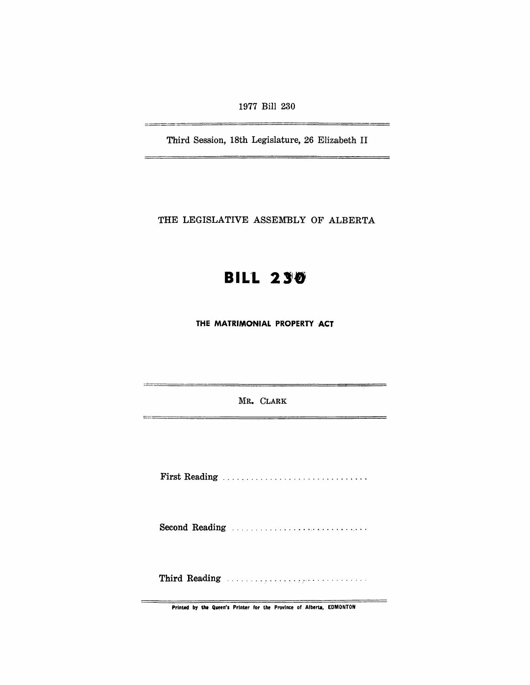1977 Bill 230

Third Session, 18th Legislature, 26 Elizabeth II

THE LEGISLATIVE ASSEMBLY OF ALBERTA

# **BIL'L** 2'8'

**THE MATRIMONIAL PROPERTY ACT** 

MR. CLARK

First Reading .............................. .

Second Reading .............................. .

Third Reading ............ .... ~ ,'" . . . . . . . . . . . .

Printed by **the** Queen's Printer for the Province of Alberta, EDMONTON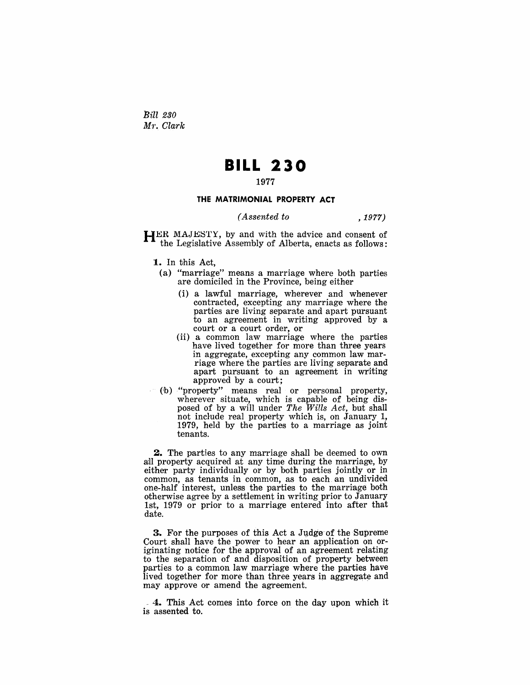Bill *230*  M1'. *Clark* 

## **BILL 230**

## 1977

#### **THE MATRIMONIAL PROPERTY ACT**

*(Assented to* , 1977)

HER MAJESTY, by and with the advice and consent of the Legislative Assembly of Alberta, enacts as follows:

1. In this Act,

- (a) "marriage" means a marriage where both parties are domiciled in the Province, being either
	- (i) a lawful marriage, wherever and whenever contracted, excepting any marriage where the parties are living separate and apart pursuant to an agreement in writing approved by a court or a court order, or
	- (ii) a common law marriage where the parties have lived together for more than three years in aggregate, excepting any common law marriage where tbe parties are living separate and apart pursuant to an agreement in writing approved by a court;
- ('b) "property" means real or personal property, wherever situate, which is capable of being disposed of by a will under *The Wills Act,* but shall not include real property which is, on January 1, 1979, held by the parties to a marriage as joint tenants.

**2.** The parties to any marriage shall be deemed to own all property acquired at any time during the marriage, by either party individually or by both parties jointly or in common, as tenants in common, as to each an undivided one-half interest, unless the parties to the marriage both otherwise agree by a settlement in writing prior to January 1st, 1979 or prior to a marriage entered into after that date.

3. For the purposes of this Act a Judge of the Supreme Court shall have the power to hear an application on originating notice for the approval of an agreement relating to the separation of and disposition of property between parties to a common law marriage where the parties have lived together for more than three years in aggregate and may approve or amend the agreement.

<sup>~</sup>4. This Act comes into force on the day upon which it is assented to.